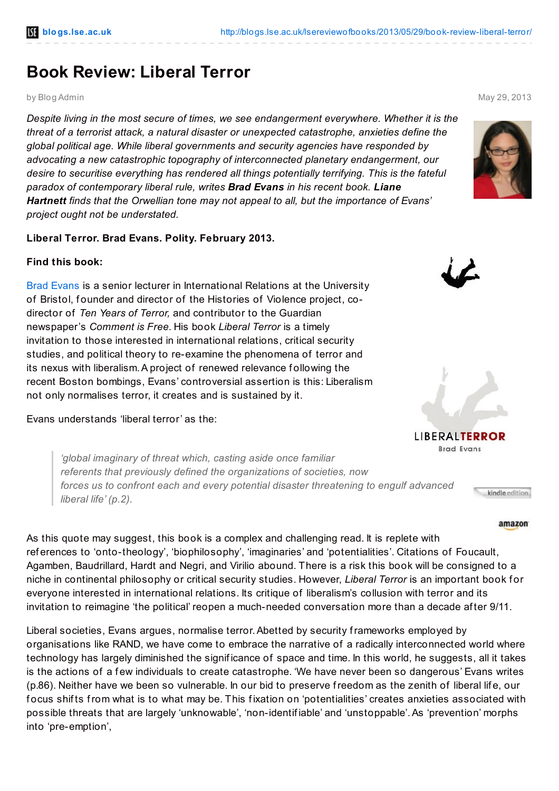## **Book Review: Liberal Terror**

by Blog Admin May 29, 2013

*Despite living in the most secure of times, we see endangerment everywhere. Whether it is the threat of a terrorist attack, a natural disaster or unexpected catastrophe, anxieties define the global political age. While liberal governments and security agencies have responded by advocating a new catastrophic topography of interconnected planetary endangerment, our desire to securitise everything has rendered all things potentially terrifying. This is the fateful paradox of contemporary liberal rule, writes Brad Evans in his recent book. Liane Hartnett finds that the Orwellian tone may not appeal to all, but the importance of Evans' project ought not be understated.*

## **Liberal Terror. Brad Evans. Polity. February 2013.**

## **Find this book:**

Brad [Evans](http://www.bristol.ac.uk/spais/people/person/brad-evans) is a senior lecturer in International Relations at the University of Bristol, founder and director of the Histories of Violence project, codirector of *Ten Years of Terror,* and contributor to the Guardian newspaper's *Comment is Free*. His book *Liberal Terror* is a timely invitation to those interested in international relations, critical security studies, and political theory to re-examine the phenomena of terror and its nexus with liberalism.A project of renewed relevance f ollowing the recent Boston bombings, Evans' controversial assertion is this: Liberalism not only normalises terror, it creates and is sustained by it.

Evans understands 'liberal terror' as the:

*'global imaginary of threat which, casting aside once familiar referents that previously defined the organizations of societies, now forces us to confront each and every potential disaster threatening to engulf advanced liberal life' (p.2).*

As this quote may suggest, this book is a complex and challenging read. It is replete with ref erences to 'onto-theology', 'biophilosophy', 'imaginaries' and 'potentialities'. Citations of Foucault, Agamben, Baudrillard, Hardt and Negri, and Virilio abound. There is a risk this book will be consigned to a niche in continental philosophy or critical security studies. However, *Liberal Terror* is an important book f or everyone interested in international relations. Its critique of liberalism's collusion with terror and its invitation to reimagine 'the political' reopen a much-needed conversation more than a decade af ter 9/11.

Liberal societies, Evans argues, normalise terror.Abetted by security frameworks employed by organisations like RAND, we have come to embrace the narrative of a radically interconnected world where technology has largely diminished the signif icance of space and time. In this world, he suggests, all it takes is the actions of a few individuals to create catastrophe. 'We have never been so dangerous' Evans writes (p.86). Neither have we been so vulnerable. In our bid to preserve freedom as the zenith of liberal lif e, our focus shifts from what is to what may be. This fixation on 'potentialities' creates anxieties associated with possible threats that are largely 'unknowable', 'non-identif iable' and 'unstoppable'.As 'prevention' morphs into 'pre-emption',





LIBERALTERROR **Brad Evans** 

kindle edition

## amazon